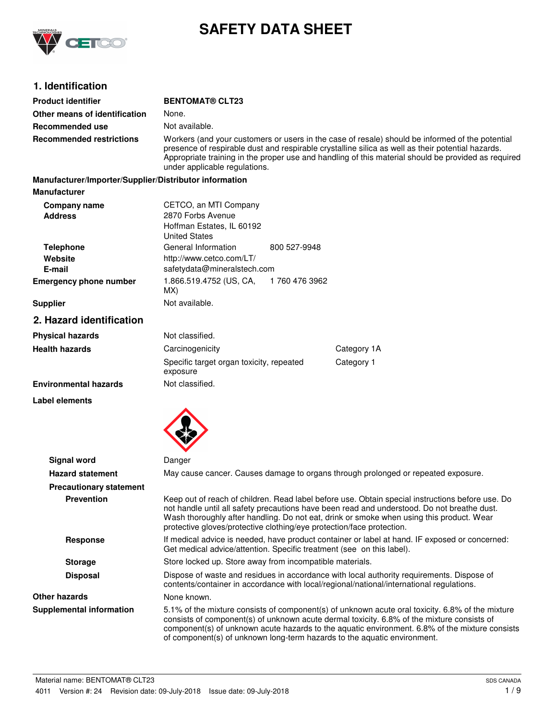

# **SAFETY DATA SHEET**

# **1. Identification**

| <b>Product identifier</b>                              | <b>BENTOMAT® CLT23</b>                                                                                                                                                                                                                                                                                                                                                       |  |  |
|--------------------------------------------------------|------------------------------------------------------------------------------------------------------------------------------------------------------------------------------------------------------------------------------------------------------------------------------------------------------------------------------------------------------------------------------|--|--|
| Other means of identification                          | None.                                                                                                                                                                                                                                                                                                                                                                        |  |  |
| Recommended use                                        | Not available.                                                                                                                                                                                                                                                                                                                                                               |  |  |
| <b>Recommended restrictions</b>                        | Workers (and your customers or users in the case of resale) should be informed of the potential<br>presence of respirable dust and respirable crystalline silica as well as their potential hazards.<br>Appropriate training in the proper use and handling of this material should be provided as required<br>under applicable regulations.                                 |  |  |
| Manufacturer/Importer/Supplier/Distributor information |                                                                                                                                                                                                                                                                                                                                                                              |  |  |
| <b>Manufacturer</b>                                    |                                                                                                                                                                                                                                                                                                                                                                              |  |  |
| Company name<br><b>Address</b>                         | CETCO, an MTI Company<br>2870 Forbs Avenue<br>Hoffman Estates, IL 60192<br><b>United States</b>                                                                                                                                                                                                                                                                              |  |  |
| <b>Telephone</b>                                       | General Information<br>800 527-9948                                                                                                                                                                                                                                                                                                                                          |  |  |
| Website<br>E-mail                                      | http://www.cetco.com/LT/<br>safetydata@mineralstech.com                                                                                                                                                                                                                                                                                                                      |  |  |
| <b>Emergency phone number</b>                          | 1.866.519.4752 (US, CA,<br>1 760 476 3962<br>MX)                                                                                                                                                                                                                                                                                                                             |  |  |
| <b>Supplier</b>                                        | Not available.                                                                                                                                                                                                                                                                                                                                                               |  |  |
| 2. Hazard identification                               |                                                                                                                                                                                                                                                                                                                                                                              |  |  |
| <b>Physical hazards</b>                                | Not classified.                                                                                                                                                                                                                                                                                                                                                              |  |  |
| <b>Health hazards</b>                                  | Category 1A<br>Carcinogenicity                                                                                                                                                                                                                                                                                                                                               |  |  |
|                                                        | Category 1<br>Specific target organ toxicity, repeated<br>exposure                                                                                                                                                                                                                                                                                                           |  |  |
| <b>Environmental hazards</b>                           | Not classified.                                                                                                                                                                                                                                                                                                                                                              |  |  |
| <b>Label elements</b>                                  |                                                                                                                                                                                                                                                                                                                                                                              |  |  |
| <b>Signal word</b>                                     | Danger                                                                                                                                                                                                                                                                                                                                                                       |  |  |
| <b>Hazard statement</b>                                | May cause cancer. Causes damage to organs through prolonged or repeated exposure.                                                                                                                                                                                                                                                                                            |  |  |
| <b>Precautionary statement</b>                         |                                                                                                                                                                                                                                                                                                                                                                              |  |  |
| <b>Prevention</b>                                      | Keep out of reach of children. Read label before use. Obtain special instructions before use. Do<br>not handle until all safety precautions have been read and understood. Do not breathe dust.<br>Wash thoroughly after handling. Do not eat, drink or smoke when using this product. Wear<br>protective gloves/protective clothing/eye protection/face protection.         |  |  |
| <b>Response</b>                                        | If medical advice is needed, have product container or label at hand. IF exposed or concerned:<br>Get medical advice/attention. Specific treatment (see on this label).                                                                                                                                                                                                      |  |  |
| <b>Storage</b>                                         | Store locked up. Store away from incompatible materials.                                                                                                                                                                                                                                                                                                                     |  |  |
| <b>Disposal</b>                                        | Dispose of waste and residues in accordance with local authority requirements. Dispose of<br>contents/container in accordance with local/regional/national/international regulations.                                                                                                                                                                                        |  |  |
| <b>Other hazards</b>                                   | None known.                                                                                                                                                                                                                                                                                                                                                                  |  |  |
| <b>Supplemental information</b>                        | 5.1% of the mixture consists of component(s) of unknown acute oral toxicity. 6.8% of the mixture<br>consists of component(s) of unknown acute dermal toxicity. 6.8% of the mixture consists of<br>component(s) of unknown acute hazards to the aquatic environment. 6.8% of the mixture consists<br>of component(s) of unknown long-term hazards to the aquatic environment. |  |  |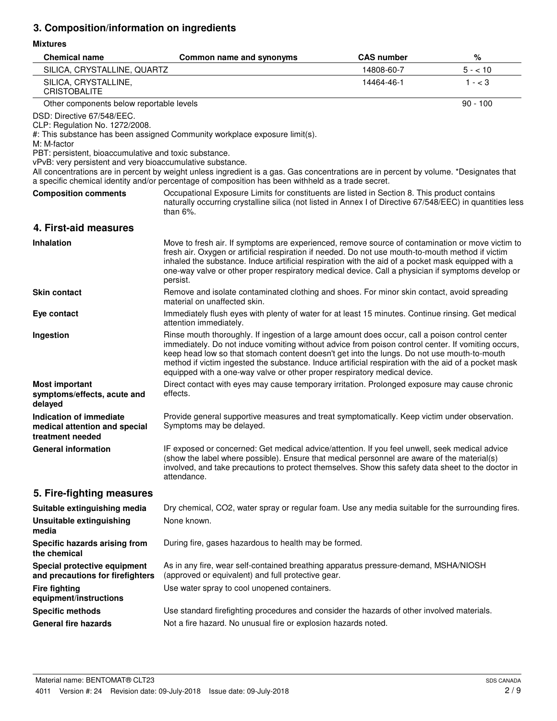# **3. Composition/information on ingredients**

### **Mixtures**

| <b>Chemical name</b>                                                                                                                                                                              | Common name and synonyms                                                                                                                                                                                                                                                                                                                                                                                                                                                                  | <b>CAS number</b> | %          |
|---------------------------------------------------------------------------------------------------------------------------------------------------------------------------------------------------|-------------------------------------------------------------------------------------------------------------------------------------------------------------------------------------------------------------------------------------------------------------------------------------------------------------------------------------------------------------------------------------------------------------------------------------------------------------------------------------------|-------------------|------------|
| SILICA, CRYSTALLINE, QUARTZ                                                                                                                                                                       |                                                                                                                                                                                                                                                                                                                                                                                                                                                                                           | 14808-60-7        | $5 - 10$   |
| SILICA, CRYSTALLINE,<br><b>CRISTOBALITE</b>                                                                                                                                                       |                                                                                                                                                                                                                                                                                                                                                                                                                                                                                           | 14464-46-1        | $1 - < 3$  |
| Other components below reportable levels                                                                                                                                                          |                                                                                                                                                                                                                                                                                                                                                                                                                                                                                           |                   | $90 - 100$ |
| DSD: Directive 67/548/EEC.<br>CLP: Regulation No. 1272/2008.<br>M: M-factor<br>PBT: persistent, bioaccumulative and toxic substance.<br>vPvB: very persistent and very bioaccumulative substance. | #: This substance has been assigned Community workplace exposure limit(s).                                                                                                                                                                                                                                                                                                                                                                                                                |                   |            |
|                                                                                                                                                                                                   | All concentrations are in percent by weight unless ingredient is a gas. Gas concentrations are in percent by volume. *Designates that<br>a specific chemical identity and/or percentage of composition has been withheld as a trade secret.                                                                                                                                                                                                                                               |                   |            |
| <b>Composition comments</b>                                                                                                                                                                       | Occupational Exposure Limits for constituents are listed in Section 8. This product contains<br>naturally occurring crystalline silica (not listed in Annex I of Directive 67/548/EEC) in quantities less<br>than $6\%$ .                                                                                                                                                                                                                                                                 |                   |            |
| 4. First-aid measures                                                                                                                                                                             |                                                                                                                                                                                                                                                                                                                                                                                                                                                                                           |                   |            |
| <b>Inhalation</b>                                                                                                                                                                                 | Move to fresh air. If symptoms are experienced, remove source of contamination or move victim to<br>fresh air. Oxygen or artificial respiration if needed. Do not use mouth-to-mouth method if victim<br>inhaled the substance. Induce artificial respiration with the aid of a pocket mask equipped with a<br>one-way valve or other proper respiratory medical device. Call a physician if symptoms develop or<br>persist.                                                              |                   |            |
| <b>Skin contact</b>                                                                                                                                                                               | Remove and isolate contaminated clothing and shoes. For minor skin contact, avoid spreading<br>material on unaffected skin.                                                                                                                                                                                                                                                                                                                                                               |                   |            |
| Eye contact                                                                                                                                                                                       | Immediately flush eyes with plenty of water for at least 15 minutes. Continue rinsing. Get medical<br>attention immediately.                                                                                                                                                                                                                                                                                                                                                              |                   |            |
| Ingestion                                                                                                                                                                                         | Rinse mouth thoroughly. If ingestion of a large amount does occur, call a poison control center<br>immediately. Do not induce vomiting without advice from poison control center. If vomiting occurs,<br>keep head low so that stomach content doesn't get into the lungs. Do not use mouth-to-mouth<br>method if victim ingested the substance. Induce artificial respiration with the aid of a pocket mask<br>equipped with a one-way valve or other proper respiratory medical device. |                   |            |
| <b>Most important</b><br>symptoms/effects, acute and<br>delayed                                                                                                                                   | Direct contact with eyes may cause temporary irritation. Prolonged exposure may cause chronic<br>effects.                                                                                                                                                                                                                                                                                                                                                                                 |                   |            |
| Indication of immediate<br>medical attention and special<br>treatment needed                                                                                                                      | Provide general supportive measures and treat symptomatically. Keep victim under observation.<br>Symptoms may be delayed.                                                                                                                                                                                                                                                                                                                                                                 |                   |            |
| <b>General information</b>                                                                                                                                                                        | IF exposed or concerned: Get medical advice/attention. If you feel unwell, seek medical advice<br>(show the label where possible). Ensure that medical personnel are aware of the material(s)<br>involved, and take precautions to protect themselves. Show this safety data sheet to the doctor in<br>attendance.                                                                                                                                                                        |                   |            |
| 5. Fire-fighting measures                                                                                                                                                                         |                                                                                                                                                                                                                                                                                                                                                                                                                                                                                           |                   |            |
| Suitable extinguishing media                                                                                                                                                                      | Dry chemical, CO2, water spray or regular foam. Use any media suitable for the surrounding fires.                                                                                                                                                                                                                                                                                                                                                                                         |                   |            |
| <b>Unsuitable extinguishing</b><br>media                                                                                                                                                          | None known.                                                                                                                                                                                                                                                                                                                                                                                                                                                                               |                   |            |
| Specific hazards arising from<br>the chemical                                                                                                                                                     | During fire, gases hazardous to health may be formed.                                                                                                                                                                                                                                                                                                                                                                                                                                     |                   |            |
| Special protective equipment<br>and precautions for firefighters                                                                                                                                  | As in any fire, wear self-contained breathing apparatus pressure-demand, MSHA/NIOSH<br>(approved or equivalent) and full protective gear.                                                                                                                                                                                                                                                                                                                                                 |                   |            |
| <b>Fire fighting</b><br>equipment/instructions                                                                                                                                                    | Use water spray to cool unopened containers.                                                                                                                                                                                                                                                                                                                                                                                                                                              |                   |            |
| <b>Specific methods</b>                                                                                                                                                                           | Use standard firefighting procedures and consider the hazards of other involved materials.                                                                                                                                                                                                                                                                                                                                                                                                |                   |            |
| <b>General fire hazards</b>                                                                                                                                                                       | Not a fire hazard. No unusual fire or explosion hazards noted.                                                                                                                                                                                                                                                                                                                                                                                                                            |                   |            |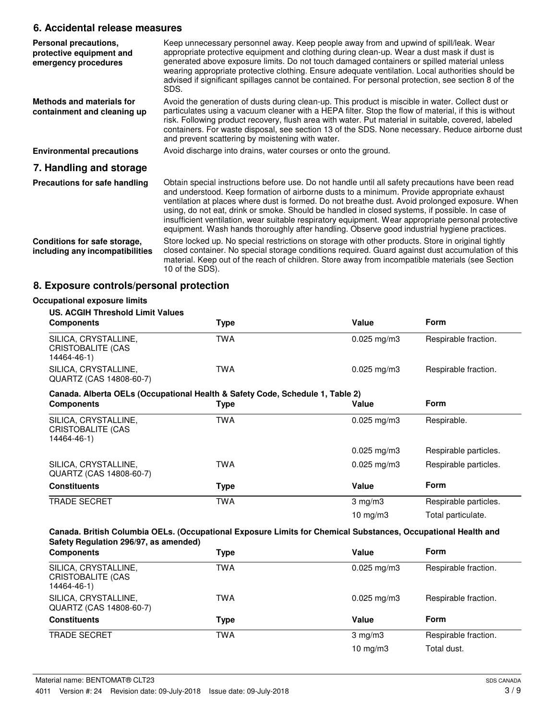## **6. Accidental release measures**

| Personal precautions,<br>protective equipment and<br>emergency procedures | Keep unnecessary personnel away. Keep people away from and upwind of spill/leak. Wear<br>appropriate protective equipment and clothing during clean-up. Wear a dust mask if dust is<br>generated above exposure limits. Do not touch damaged containers or spilled material unless<br>wearing appropriate protective clothing. Ensure adequate ventilation. Local authorities should be<br>advised if significant spillages cannot be contained. For personal protection, see section 8 of the<br>SDS.                                                                                                      |
|---------------------------------------------------------------------------|-------------------------------------------------------------------------------------------------------------------------------------------------------------------------------------------------------------------------------------------------------------------------------------------------------------------------------------------------------------------------------------------------------------------------------------------------------------------------------------------------------------------------------------------------------------------------------------------------------------|
| Methods and materials for<br>containment and cleaning up                  | Avoid the generation of dusts during clean-up. This product is miscible in water. Collect dust or<br>particulates using a vacuum cleaner with a HEPA filter. Stop the flow of material, if this is without<br>risk. Following product recovery, flush area with water. Put material in suitable, covered, labeled<br>containers. For waste disposal, see section 13 of the SDS. None necessary. Reduce airborne dust<br>and prevent scattering by moistening with water.                                                                                                                                    |
| <b>Environmental precautions</b>                                          | Avoid discharge into drains, water courses or onto the ground.                                                                                                                                                                                                                                                                                                                                                                                                                                                                                                                                              |
| 7. Handling and storage                                                   |                                                                                                                                                                                                                                                                                                                                                                                                                                                                                                                                                                                                             |
| Precautions for safe handling                                             | Obtain special instructions before use. Do not handle until all safety precautions have been read<br>and understood. Keep formation of airborne dusts to a minimum. Provide appropriate exhaust<br>ventilation at places where dust is formed. Do not breathe dust. Avoid prolonged exposure. When<br>using, do not eat, drink or smoke. Should be handled in closed systems, if possible. In case of<br>insufficient ventilation, wear suitable respiratory equipment. Wear appropriate personal protective<br>equipment. Wash hands thoroughly after handling. Observe good industrial hygiene practices. |
| Conditions for safe storage,<br>including any incompatibilities           | Store locked up. No special restrictions on storage with other products. Store in original tightly<br>closed container. No special storage conditions required. Guard against dust accumulation of this<br>material. Keep out of the reach of children. Store away from incompatible materials (see Section<br>10 of the SDS).                                                                                                                                                                                                                                                                              |

# **8. Exposure controls/personal protection**

| <b>US. ACGIH Threshold Limit Values</b>                                       |            |                         |                       |
|-------------------------------------------------------------------------------|------------|-------------------------|-----------------------|
| <b>Components</b>                                                             | Type       | Value                   | Form                  |
| SILICA, CRYSTALLINE,<br><b>CRISTOBALITE (CAS</b><br>14464-46-1)               | <b>TWA</b> | $0.025$ mg/m3           | Respirable fraction.  |
| SILICA, CRYSTALLINE,<br>QUARTZ (CAS 14808-60-7)                               | <b>TWA</b> | $0.025 \,\mathrm{mg/m}$ | Respirable fraction.  |
| Canada. Alberta OELs (Occupational Health & Safety Code, Schedule 1, Table 2) |            |                         |                       |
| <b>Components</b>                                                             | Type       | Value                   | Form                  |
| SILICA, CRYSTALLINE,<br>CRISTOBALITE (CAS<br>14464-46-1)                      | <b>TWA</b> | $0.025$ mg/m3           | Respirable.           |
|                                                                               |            | $0.025$ mg/m3           | Respirable particles. |
| SILICA, CRYSTALLINE,<br>QUARTZ (CAS 14808-60-7)                               | <b>TWA</b> | $0.025$ mg/m3           | Respirable particles. |
| <b>Constituents</b>                                                           | Type       | Value                   | Form                  |
| <b>TRADE SECRET</b>                                                           | <b>TWA</b> | $3$ mg/m $3$            | Respirable particles. |
|                                                                               |            | 10 mg/m $3$             | Total particulate.    |

| SILICA, CRYSTALLINE,<br><b>TWA</b><br>Respirable fraction.<br>$0.025 \,\mathrm{mg/m}$<br>CRISTOBALITE (CAS<br>14464-46-1)<br>SILICA, CRYSTALLINE,<br>TWA<br>Respirable fraction.<br>$0.025 \text{ mg/m}$ 3<br>QUARTZ (CAS 14808-60-7)<br><b>Form</b><br><b>Constituents</b><br>Value<br>Type<br><b>TRADE SECRET</b><br>TWA<br>Respirable fraction.<br>$3 \text{ mg/m}$<br>$10 \text{ mg/m}$<br>Total dust. | <b>Components</b> | Type | Value | <b>Form</b> |
|------------------------------------------------------------------------------------------------------------------------------------------------------------------------------------------------------------------------------------------------------------------------------------------------------------------------------------------------------------------------------------------------------------|-------------------|------|-------|-------------|
|                                                                                                                                                                                                                                                                                                                                                                                                            |                   |      |       |             |
|                                                                                                                                                                                                                                                                                                                                                                                                            |                   |      |       |             |
|                                                                                                                                                                                                                                                                                                                                                                                                            |                   |      |       |             |
|                                                                                                                                                                                                                                                                                                                                                                                                            |                   |      |       |             |
|                                                                                                                                                                                                                                                                                                                                                                                                            |                   |      |       |             |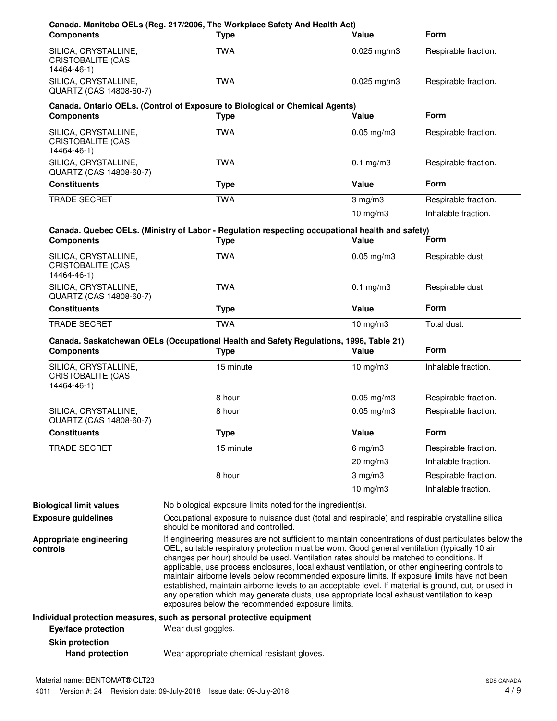| <b>Components</b>                                               | Canada. Manitoba OELs (Reg. 217/2006, The Workplace Safety And Health Act)<br><b>Type</b>                                                                                                                                                                                                                                                                                                                                                                                                                                                                                                                                                                                                                                                                    | Value           | <b>Form</b>          |
|-----------------------------------------------------------------|--------------------------------------------------------------------------------------------------------------------------------------------------------------------------------------------------------------------------------------------------------------------------------------------------------------------------------------------------------------------------------------------------------------------------------------------------------------------------------------------------------------------------------------------------------------------------------------------------------------------------------------------------------------------------------------------------------------------------------------------------------------|-----------------|----------------------|
| SILICA, CRYSTALLINE,<br>CRISTOBALITE (CAS<br>14464-46-1)        | <b>TWA</b>                                                                                                                                                                                                                                                                                                                                                                                                                                                                                                                                                                                                                                                                                                                                                   | $0.025$ mg/m3   | Respirable fraction. |
| SILICA, CRYSTALLINE,<br>QUARTZ (CAS 14808-60-7)                 | <b>TWA</b>                                                                                                                                                                                                                                                                                                                                                                                                                                                                                                                                                                                                                                                                                                                                                   | $0.025$ mg/m3   | Respirable fraction. |
| <b>Components</b>                                               | Canada. Ontario OELs. (Control of Exposure to Biological or Chemical Agents)<br><b>Type</b>                                                                                                                                                                                                                                                                                                                                                                                                                                                                                                                                                                                                                                                                  | Value           | <b>Form</b>          |
| SILICA, CRYSTALLINE,<br><b>CRISTOBALITE (CAS</b><br>14464-46-1) | <b>TWA</b>                                                                                                                                                                                                                                                                                                                                                                                                                                                                                                                                                                                                                                                                                                                                                   | $0.05$ mg/m $3$ | Respirable fraction. |
| SILICA, CRYSTALLINE,<br>QUARTZ (CAS 14808-60-7)                 | <b>TWA</b>                                                                                                                                                                                                                                                                                                                                                                                                                                                                                                                                                                                                                                                                                                                                                   | $0.1$ mg/m $3$  | Respirable fraction. |
| <b>Constituents</b>                                             | <b>Type</b>                                                                                                                                                                                                                                                                                                                                                                                                                                                                                                                                                                                                                                                                                                                                                  | Value           | <b>Form</b>          |
| <b>TRADE SECRET</b>                                             | <b>TWA</b>                                                                                                                                                                                                                                                                                                                                                                                                                                                                                                                                                                                                                                                                                                                                                   | $3$ mg/m $3$    | Respirable fraction. |
|                                                                 |                                                                                                                                                                                                                                                                                                                                                                                                                                                                                                                                                                                                                                                                                                                                                              | $10$ mg/m $3$   | Inhalable fraction.  |
| <b>Components</b>                                               | Canada. Quebec OELs. (Ministry of Labor - Regulation respecting occupational health and safety)<br><b>Type</b>                                                                                                                                                                                                                                                                                                                                                                                                                                                                                                                                                                                                                                               | Value           | Form                 |
| SILICA, CRYSTALLINE,<br><b>CRISTOBALITE (CAS</b><br>14464-46-1) | <b>TWA</b>                                                                                                                                                                                                                                                                                                                                                                                                                                                                                                                                                                                                                                                                                                                                                   | $0.05$ mg/m $3$ | Respirable dust.     |
| SILICA, CRYSTALLINE,<br>QUARTZ (CAS 14808-60-7)                 | <b>TWA</b>                                                                                                                                                                                                                                                                                                                                                                                                                                                                                                                                                                                                                                                                                                                                                   | $0.1$ mg/m $3$  | Respirable dust.     |
| <b>Constituents</b>                                             | <b>Type</b>                                                                                                                                                                                                                                                                                                                                                                                                                                                                                                                                                                                                                                                                                                                                                  | Value           | <b>Form</b>          |
| TRADE SECRET                                                    | <b>TWA</b>                                                                                                                                                                                                                                                                                                                                                                                                                                                                                                                                                                                                                                                                                                                                                   | $10$ mg/m $3$   | Total dust.          |
| <b>Components</b>                                               | Canada. Saskatchewan OELs (Occupational Health and Safety Regulations, 1996, Table 21)<br><b>Type</b>                                                                                                                                                                                                                                                                                                                                                                                                                                                                                                                                                                                                                                                        | Value           | <b>Form</b>          |
| SILICA, CRYSTALLINE,<br><b>CRISTOBALITE (CAS</b><br>14464-46-1) | 15 minute                                                                                                                                                                                                                                                                                                                                                                                                                                                                                                                                                                                                                                                                                                                                                    | $10$ mg/m $3$   | Inhalable fraction.  |
|                                                                 | 8 hour                                                                                                                                                                                                                                                                                                                                                                                                                                                                                                                                                                                                                                                                                                                                                       | $0.05$ mg/m3    | Respirable fraction. |
| SILICA, CRYSTALLINE,<br>QUARTZ (CAS 14808-60-7)                 | 8 hour                                                                                                                                                                                                                                                                                                                                                                                                                                                                                                                                                                                                                                                                                                                                                       | $0.05$ mg/m $3$ | Respirable fraction. |
| <b>Constituents</b>                                             | <b>Type</b>                                                                                                                                                                                                                                                                                                                                                                                                                                                                                                                                                                                                                                                                                                                                                  | Value           | Form                 |
| <b>TRADE SECRET</b>                                             | 15 minute                                                                                                                                                                                                                                                                                                                                                                                                                                                                                                                                                                                                                                                                                                                                                    | $6$ mg/m $3$    | Respirable fraction. |
|                                                                 |                                                                                                                                                                                                                                                                                                                                                                                                                                                                                                                                                                                                                                                                                                                                                              | 20 mg/m3        | Inhalable fraction.  |
|                                                                 | 8 hour                                                                                                                                                                                                                                                                                                                                                                                                                                                                                                                                                                                                                                                                                                                                                       | $3$ mg/m $3$    | Respirable fraction. |
|                                                                 |                                                                                                                                                                                                                                                                                                                                                                                                                                                                                                                                                                                                                                                                                                                                                              | 10 $mg/m3$      | Inhalable fraction.  |
| <b>Biological limit values</b>                                  | No biological exposure limits noted for the ingredient(s).                                                                                                                                                                                                                                                                                                                                                                                                                                                                                                                                                                                                                                                                                                   |                 |                      |
| <b>Exposure guidelines</b>                                      | Occupational exposure to nuisance dust (total and respirable) and respirable crystalline silica<br>should be monitored and controlled.                                                                                                                                                                                                                                                                                                                                                                                                                                                                                                                                                                                                                       |                 |                      |
| Appropriate engineering<br>controls                             | If engineering measures are not sufficient to maintain concentrations of dust particulates below the<br>OEL, suitable respiratory protection must be worn. Good general ventilation (typically 10 air<br>changes per hour) should be used. Ventilation rates should be matched to conditions. If<br>applicable, use process enclosures, local exhaust ventilation, or other engineering controls to<br>maintain airborne levels below recommended exposure limits. If exposure limits have not been<br>established, maintain airborne levels to an acceptable level. If material is ground, cut, or used in<br>any operation which may generate dusts, use appropriate local exhaust ventilation to keep<br>exposures below the recommended exposure limits. |                 |                      |
|                                                                 | Individual protection measures, such as personal protective equipment                                                                                                                                                                                                                                                                                                                                                                                                                                                                                                                                                                                                                                                                                        |                 |                      |
| Eye/face protection                                             | Wear dust goggles.                                                                                                                                                                                                                                                                                                                                                                                                                                                                                                                                                                                                                                                                                                                                           |                 |                      |
| <b>Skin protection</b>                                          |                                                                                                                                                                                                                                                                                                                                                                                                                                                                                                                                                                                                                                                                                                                                                              |                 |                      |
| <b>Hand protection</b>                                          | Wear appropriate chemical resistant gloves.                                                                                                                                                                                                                                                                                                                                                                                                                                                                                                                                                                                                                                                                                                                  |                 |                      |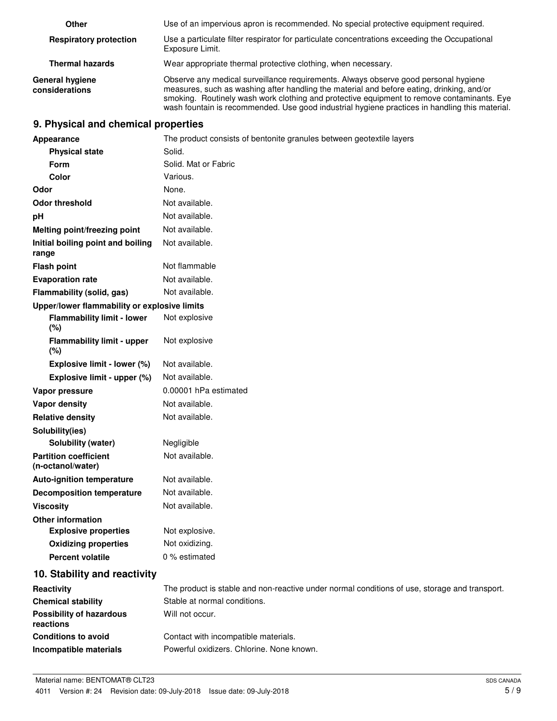| Other                                    | Use of an impervious apron is recommended. No special protective equipment required.                                                                                                                                                                                                                                                                                             |
|------------------------------------------|----------------------------------------------------------------------------------------------------------------------------------------------------------------------------------------------------------------------------------------------------------------------------------------------------------------------------------------------------------------------------------|
| <b>Respiratory protection</b>            | Use a particulate filter respirator for particulate concentrations exceeding the Occupational<br>Exposure Limit.                                                                                                                                                                                                                                                                 |
| <b>Thermal hazards</b>                   | Wear appropriate thermal protective clothing, when necessary.                                                                                                                                                                                                                                                                                                                    |
| <b>General hygiene</b><br>considerations | Observe any medical surveillance requirements. Always observe good personal hygiene<br>measures, such as washing after handling the material and before eating, drinking, and/or<br>smoking. Routinely wash work clothing and protective equipment to remove contaminants. Eye<br>wash fountain is recommended. Use good industrial hygiene practices in handling this material. |

## **9. Physical and chemical properties**

| Appearance                                        | The product consists of bentonite granules between geotextile layers                          |
|---------------------------------------------------|-----------------------------------------------------------------------------------------------|
| <b>Physical state</b>                             | Solid.                                                                                        |
| Form                                              | Solid. Mat or Fabric                                                                          |
| Color                                             | Various.                                                                                      |
| Odor                                              | None.                                                                                         |
| <b>Odor threshold</b>                             | Not available.                                                                                |
| pH                                                | Not available.                                                                                |
| Melting point/freezing point                      | Not available.                                                                                |
| Initial boiling point and boiling<br>range        | Not available.                                                                                |
| <b>Flash point</b>                                | Not flammable                                                                                 |
| <b>Evaporation rate</b>                           | Not available.                                                                                |
| Flammability (solid, gas)                         | Not available.                                                                                |
| Upper/lower flammability or explosive limits      |                                                                                               |
| <b>Flammability limit - lower</b><br>(%)          | Not explosive                                                                                 |
| <b>Flammability limit - upper</b><br>(%)          | Not explosive                                                                                 |
| Explosive limit - lower (%)                       | Not available.                                                                                |
| Explosive limit - upper (%)                       | Not available.                                                                                |
| Vapor pressure                                    | 0.00001 hPa estimated                                                                         |
| <b>Vapor density</b>                              | Not available.                                                                                |
| <b>Relative density</b>                           | Not available.                                                                                |
| Solubility(ies)                                   |                                                                                               |
| Solubility (water)                                | Negligible                                                                                    |
| <b>Partition coefficient</b><br>(n-octanol/water) | Not available.                                                                                |
| <b>Auto-ignition temperature</b>                  | Not available.                                                                                |
| <b>Decomposition temperature</b>                  | Not available.                                                                                |
| <b>Viscosity</b>                                  | Not available.                                                                                |
| <b>Other information</b>                          |                                                                                               |
| <b>Explosive properties</b>                       | Not explosive.                                                                                |
| <b>Oxidizing properties</b>                       | Not oxidizing.                                                                                |
| <b>Percent volatile</b>                           | 0 % estimated                                                                                 |
| 10. Stability and reactivity                      |                                                                                               |
| Reactivity                                        | The product is stable and non-reactive under normal conditions of use, storage and transport. |
| <b>Chemical stability</b>                         | Stable at normal conditions.                                                                  |
| <b>Possibility of hazardous</b><br>reactions      | Will not occur.                                                                               |
| <b>Conditions to avoid</b>                        | Contact with incompatible materials.                                                          |
| Incompatible materials                            | Powerful oxidizers. Chlorine. None known.                                                     |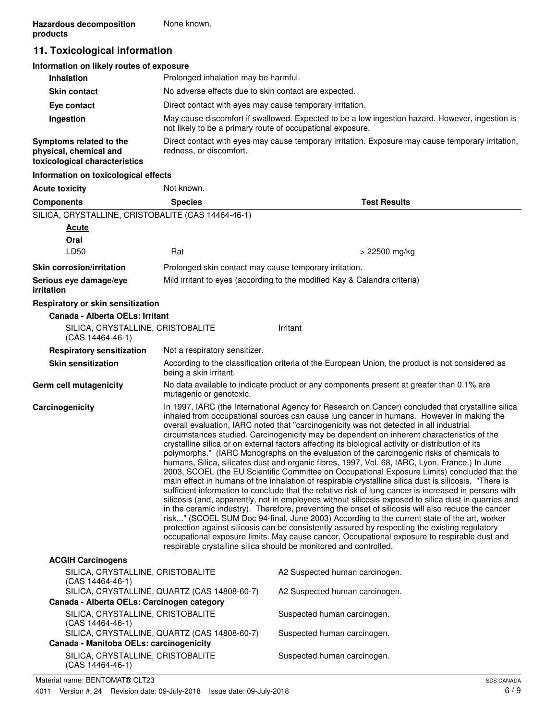# **11. Toxicological information**

| Information on likely routes of exposure                                           |                                                                                                                                                               |
|------------------------------------------------------------------------------------|---------------------------------------------------------------------------------------------------------------------------------------------------------------|
| <b>Inhalation</b>                                                                  | Prolonged inhalation may be harmful.                                                                                                                          |
| <b>Skin contact</b>                                                                | No adverse effects due to skin contact are expected.                                                                                                          |
| Eye contact                                                                        | Direct contact with eyes may cause temporary irritation.                                                                                                      |
| Ingestion                                                                          | May cause discomfort if swallowed. Expected to be a low ingestion hazard. However, ingestion is<br>not likely to be a primary route of occupational exposure. |
| Symptoms related to the<br>physical, chemical and<br>toxicological characteristics | Direct contact with eyes may cause temporary irritation. Exposure may cause temporary irritation,<br>redness, or discomfort.                                  |
| Information on toxicological effects                                               |                                                                                                                                                               |

| <b>Acute toxicity</b>                                       | Not known.                                                                                                                                                                                                                                                                                                                                                                                                                                                                                                                                                                                                                                                                                                                                                                                                                                                                                                                                                                                                                                                                                                                                                                                                                                                                                                                                                                                                                                                                                                                                                                                         |                                                                                                  |
|-------------------------------------------------------------|----------------------------------------------------------------------------------------------------------------------------------------------------------------------------------------------------------------------------------------------------------------------------------------------------------------------------------------------------------------------------------------------------------------------------------------------------------------------------------------------------------------------------------------------------------------------------------------------------------------------------------------------------------------------------------------------------------------------------------------------------------------------------------------------------------------------------------------------------------------------------------------------------------------------------------------------------------------------------------------------------------------------------------------------------------------------------------------------------------------------------------------------------------------------------------------------------------------------------------------------------------------------------------------------------------------------------------------------------------------------------------------------------------------------------------------------------------------------------------------------------------------------------------------------------------------------------------------------------|--------------------------------------------------------------------------------------------------|
| <b>Components</b>                                           | <b>Species</b>                                                                                                                                                                                                                                                                                                                                                                                                                                                                                                                                                                                                                                                                                                                                                                                                                                                                                                                                                                                                                                                                                                                                                                                                                                                                                                                                                                                                                                                                                                                                                                                     | <b>Test Results</b>                                                                              |
| SILICA, CRYSTALLINE, CRISTOBALITE (CAS 14464-46-1)          |                                                                                                                                                                                                                                                                                                                                                                                                                                                                                                                                                                                                                                                                                                                                                                                                                                                                                                                                                                                                                                                                                                                                                                                                                                                                                                                                                                                                                                                                                                                                                                                                    |                                                                                                  |
| <b>Acute</b>                                                |                                                                                                                                                                                                                                                                                                                                                                                                                                                                                                                                                                                                                                                                                                                                                                                                                                                                                                                                                                                                                                                                                                                                                                                                                                                                                                                                                                                                                                                                                                                                                                                                    |                                                                                                  |
| Oral                                                        |                                                                                                                                                                                                                                                                                                                                                                                                                                                                                                                                                                                                                                                                                                                                                                                                                                                                                                                                                                                                                                                                                                                                                                                                                                                                                                                                                                                                                                                                                                                                                                                                    |                                                                                                  |
| LD50                                                        | Rat                                                                                                                                                                                                                                                                                                                                                                                                                                                                                                                                                                                                                                                                                                                                                                                                                                                                                                                                                                                                                                                                                                                                                                                                                                                                                                                                                                                                                                                                                                                                                                                                | > 22500 mg/kg                                                                                    |
| <b>Skin corrosion/irritation</b>                            | Prolonged skin contact may cause temporary irritation.                                                                                                                                                                                                                                                                                                                                                                                                                                                                                                                                                                                                                                                                                                                                                                                                                                                                                                                                                                                                                                                                                                                                                                                                                                                                                                                                                                                                                                                                                                                                             |                                                                                                  |
| Serious eye damage/eye<br>irritation                        |                                                                                                                                                                                                                                                                                                                                                                                                                                                                                                                                                                                                                                                                                                                                                                                                                                                                                                                                                                                                                                                                                                                                                                                                                                                                                                                                                                                                                                                                                                                                                                                                    | Mild irritant to eyes (according to the modified Kay & Calandra criteria)                        |
| Respiratory or skin sensitization                           |                                                                                                                                                                                                                                                                                                                                                                                                                                                                                                                                                                                                                                                                                                                                                                                                                                                                                                                                                                                                                                                                                                                                                                                                                                                                                                                                                                                                                                                                                                                                                                                                    |                                                                                                  |
| Canada - Alberta OELs: Irritant                             |                                                                                                                                                                                                                                                                                                                                                                                                                                                                                                                                                                                                                                                                                                                                                                                                                                                                                                                                                                                                                                                                                                                                                                                                                                                                                                                                                                                                                                                                                                                                                                                                    |                                                                                                  |
| SILICA, CRYSTALLINE, CRISTOBALITE<br>$(CAS 14464-46-1)$     |                                                                                                                                                                                                                                                                                                                                                                                                                                                                                                                                                                                                                                                                                                                                                                                                                                                                                                                                                                                                                                                                                                                                                                                                                                                                                                                                                                                                                                                                                                                                                                                                    | Irritant                                                                                         |
| <b>Respiratory sensitization</b>                            | Not a respiratory sensitizer.                                                                                                                                                                                                                                                                                                                                                                                                                                                                                                                                                                                                                                                                                                                                                                                                                                                                                                                                                                                                                                                                                                                                                                                                                                                                                                                                                                                                                                                                                                                                                                      |                                                                                                  |
| <b>Skin sensitization</b>                                   | being a skin irritant.                                                                                                                                                                                                                                                                                                                                                                                                                                                                                                                                                                                                                                                                                                                                                                                                                                                                                                                                                                                                                                                                                                                                                                                                                                                                                                                                                                                                                                                                                                                                                                             | According to the classification criteria of the European Union, the product is not considered as |
| Germ cell mutagenicity                                      | mutagenic or genotoxic.                                                                                                                                                                                                                                                                                                                                                                                                                                                                                                                                                                                                                                                                                                                                                                                                                                                                                                                                                                                                                                                                                                                                                                                                                                                                                                                                                                                                                                                                                                                                                                            | No data available to indicate product or any components present at greater than 0.1% are         |
| Carcinogenicity                                             | In 1997, IARC (the International Agency for Research on Cancer) concluded that crystalline silica<br>inhaled from occupational sources can cause lung cancer in humans. However in making the<br>overall evaluation, IARC noted that "carcinogenicity was not detected in all industrial<br>circumstances studied. Carcinogenicity may be dependent on inherent characteristics of the<br>crystalline silica or on external factors affecting its biological activity or distribution of its<br>polymorphs." (IARC Monographs on the evaluation of the carcinogenic risks of chemicals to<br>humans, Silica, silicates dust and organic fibres, 1997, Vol. 68, IARC, Lyon, France.) In June<br>2003, SCOEL (the EU Scientific Committee on Occupational Exposure Limits) concluded that the<br>main effect in humans of the inhalation of respirable crystalline silica dust is silicosis. "There is<br>sufficient information to conclude that the relative risk of lung cancer is increased in persons with<br>silicosis (and, apparently, not in employees without silicosis exposed to silica dust in quarries and<br>in the ceramic industry). Therefore, preventing the onset of silicosis will also reduce the cancer<br>risk" (SCOEL SUM Doc 94-final, June 2003) According to the current state of the art, worker<br>protection against silicosis can be consistently assured by respecting the existing regulatory<br>occupational exposure limits. May cause cancer. Occupational exposure to respirable dust and<br>respirable crystalline silica should be monitored and controlled. |                                                                                                  |
| <b>ACGIH Carcinogens</b>                                    |                                                                                                                                                                                                                                                                                                                                                                                                                                                                                                                                                                                                                                                                                                                                                                                                                                                                                                                                                                                                                                                                                                                                                                                                                                                                                                                                                                                                                                                                                                                                                                                                    |                                                                                                  |
| SILICA, CRYSTALLINE, CRISTOBALITE<br>$(CAS 14464 - 46 - 1)$ |                                                                                                                                                                                                                                                                                                                                                                                                                                                                                                                                                                                                                                                                                                                                                                                                                                                                                                                                                                                                                                                                                                                                                                                                                                                                                                                                                                                                                                                                                                                                                                                                    | A2 Suspected human carcinogen.                                                                   |
| Canada - Alberta OELs: Carcinogen category                  | SILICA, CRYSTALLINE, QUARTZ (CAS 14808-60-7)                                                                                                                                                                                                                                                                                                                                                                                                                                                                                                                                                                                                                                                                                                                                                                                                                                                                                                                                                                                                                                                                                                                                                                                                                                                                                                                                                                                                                                                                                                                                                       | A2 Suspected human carcinogen.                                                                   |
| SILICA, CRYSTALLINE, CRISTOBALITE                           |                                                                                                                                                                                                                                                                                                                                                                                                                                                                                                                                                                                                                                                                                                                                                                                                                                                                                                                                                                                                                                                                                                                                                                                                                                                                                                                                                                                                                                                                                                                                                                                                    | Suspected human carcinogen.                                                                      |
| $(CAS 14464-46-1)$                                          | SILICA, CRYSTALLINE, QUARTZ (CAS 14808-60-7)                                                                                                                                                                                                                                                                                                                                                                                                                                                                                                                                                                                                                                                                                                                                                                                                                                                                                                                                                                                                                                                                                                                                                                                                                                                                                                                                                                                                                                                                                                                                                       | Suspected human carcinogen.                                                                      |
| Canada - Manitoba OELs: carcinogenicity                     |                                                                                                                                                                                                                                                                                                                                                                                                                                                                                                                                                                                                                                                                                                                                                                                                                                                                                                                                                                                                                                                                                                                                                                                                                                                                                                                                                                                                                                                                                                                                                                                                    |                                                                                                  |
| SILICA, CRYSTALLINE, CRISTOBALITE                           |                                                                                                                                                                                                                                                                                                                                                                                                                                                                                                                                                                                                                                                                                                                                                                                                                                                                                                                                                                                                                                                                                                                                                                                                                                                                                                                                                                                                                                                                                                                                                                                                    | Suspected human carcinogen.                                                                      |

SILICA, CRYSTALLINE, CRISTOBALITE (CAS 14464-46-1)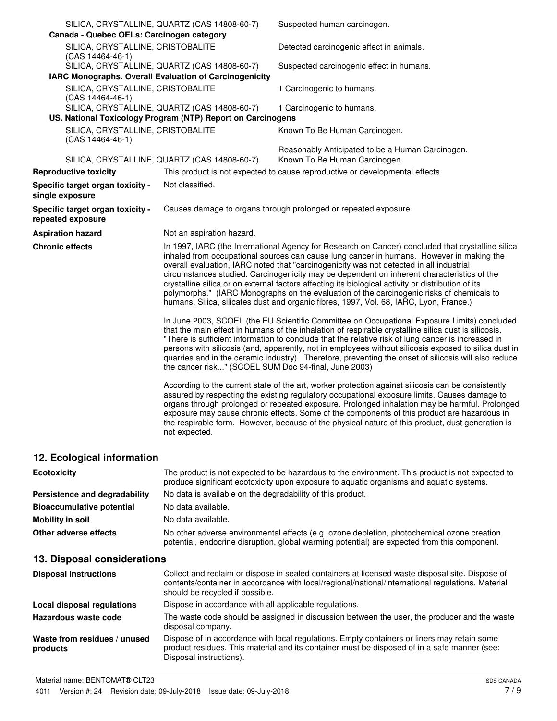| Canada - Quebec OELs: Carcinogen category              | SILICA, CRYSTALLINE, QUARTZ (CAS 14808-60-7)                | Suspected human carcinogen.                                                                                                                                                                                                                                                                                                                                                                                                                                                                                                                                                                                                                                                         |
|--------------------------------------------------------|-------------------------------------------------------------|-------------------------------------------------------------------------------------------------------------------------------------------------------------------------------------------------------------------------------------------------------------------------------------------------------------------------------------------------------------------------------------------------------------------------------------------------------------------------------------------------------------------------------------------------------------------------------------------------------------------------------------------------------------------------------------|
| SILICA, CRYSTALLINE, CRISTOBALITE<br>(CAS 14464-46-1)  |                                                             | Detected carcinogenic effect in animals.                                                                                                                                                                                                                                                                                                                                                                                                                                                                                                                                                                                                                                            |
| IARC Monographs. Overall Evaluation of Carcinogenicity | SILICA, CRYSTALLINE, QUARTZ (CAS 14808-60-7)                | Suspected carcinogenic effect in humans.                                                                                                                                                                                                                                                                                                                                                                                                                                                                                                                                                                                                                                            |
| SILICA, CRYSTALLINE, CRISTOBALITE                      |                                                             | 1 Carcinogenic to humans.                                                                                                                                                                                                                                                                                                                                                                                                                                                                                                                                                                                                                                                           |
| (CAS 14464-46-1)                                       |                                                             |                                                                                                                                                                                                                                                                                                                                                                                                                                                                                                                                                                                                                                                                                     |
|                                                        | SILICA, CRYSTALLINE, QUARTZ (CAS 14808-60-7)                | 1 Carcinogenic to humans.                                                                                                                                                                                                                                                                                                                                                                                                                                                                                                                                                                                                                                                           |
|                                                        | US. National Toxicology Program (NTP) Report on Carcinogens |                                                                                                                                                                                                                                                                                                                                                                                                                                                                                                                                                                                                                                                                                     |
| SILICA, CRYSTALLINE, CRISTOBALITE<br>(CAS 14464-46-1)  |                                                             | Known To Be Human Carcinogen.                                                                                                                                                                                                                                                                                                                                                                                                                                                                                                                                                                                                                                                       |
|                                                        | SILICA, CRYSTALLINE, QUARTZ (CAS 14808-60-7)                | Reasonably Anticipated to be a Human Carcinogen.<br>Known To Be Human Carcinogen.                                                                                                                                                                                                                                                                                                                                                                                                                                                                                                                                                                                                   |
| <b>Reproductive toxicity</b>                           |                                                             | This product is not expected to cause reproductive or developmental effects.                                                                                                                                                                                                                                                                                                                                                                                                                                                                                                                                                                                                        |
| Specific target organ toxicity -<br>single exposure    | Not classified.                                             |                                                                                                                                                                                                                                                                                                                                                                                                                                                                                                                                                                                                                                                                                     |
| Specific target organ toxicity -<br>repeated exposure  |                                                             | Causes damage to organs through prolonged or repeated exposure.                                                                                                                                                                                                                                                                                                                                                                                                                                                                                                                                                                                                                     |
| <b>Aspiration hazard</b>                               | Not an aspiration hazard.                                   |                                                                                                                                                                                                                                                                                                                                                                                                                                                                                                                                                                                                                                                                                     |
| <b>Chronic effects</b>                                 |                                                             | In 1997, IARC (the International Agency for Research on Cancer) concluded that crystalline silica<br>inhaled from occupational sources can cause lung cancer in humans. However in making the<br>overall evaluation, IARC noted that "carcinogenicity was not detected in all industrial<br>circumstances studied. Carcinogenicity may be dependent on inherent characteristics of the<br>crystalline silica or on external factors affecting its biological activity or distribution of its<br>polymorphs." (IARC Monographs on the evaluation of the carcinogenic risks of chemicals to<br>humans, Silica, silicates dust and organic fibres, 1997, Vol. 68, IARC, Lyon, France.) |
|                                                        | the cancer risk" (SCOEL SUM Doc 94-final, June 2003)        | In June 2003, SCOEL (the EU Scientific Committee on Occupational Exposure Limits) concluded<br>that the main effect in humans of the inhalation of respirable crystalline silica dust is silicosis.<br>"There is sufficient information to conclude that the relative risk of lung cancer is increased in<br>persons with silicosis (and, apparently, not in employees without silicosis exposed to silica dust in<br>quarries and in the ceramic industry). Therefore, preventing the onset of silicosis will also reduce                                                                                                                                                          |
|                                                        | not expected.                                               | According to the current state of the art, worker protection against silicosis can be consistently<br>assured by respecting the existing regulatory occupational exposure limits. Causes damage to<br>organs through prolonged or repeated exposure. Prolonged inhalation may be harmful. Prolonged<br>exposure may cause chronic effects. Some of the components of this product are hazardous in<br>the respirable form. However, because of the physical nature of this product, dust generation is                                                                                                                                                                              |
| 12. Ecological information                             |                                                             |                                                                                                                                                                                                                                                                                                                                                                                                                                                                                                                                                                                                                                                                                     |

| The product is not expected to be hazardous to the environment. This product is not expected to<br>produce significant ecotoxicity upon exposure to aquatic organisms and aquatic systems. |
|--------------------------------------------------------------------------------------------------------------------------------------------------------------------------------------------|
| No data is available on the degradability of this product.                                                                                                                                 |
| No data available.                                                                                                                                                                         |
| No data available.                                                                                                                                                                         |
| No other adverse environmental effects (e.g. ozone depletion, photochemical ozone creation<br>potential, endocrine disruption, global warming potential) are expected from this component. |
|                                                                                                                                                                                            |

# **13. Disposal considerations**

| <b>Disposal instructions</b>             | Collect and reclaim or dispose in sealed containers at licensed waste disposal site. Dispose of<br>contents/container in accordance with local/regional/national/international regulations. Material<br>should be recycled if possible. |
|------------------------------------------|-----------------------------------------------------------------------------------------------------------------------------------------------------------------------------------------------------------------------------------------|
| Local disposal regulations               | Dispose in accordance with all applicable regulations.                                                                                                                                                                                  |
| Hazardous waste code                     | The waste code should be assigned in discussion between the user, the producer and the waste<br>disposal company.                                                                                                                       |
| Waste from residues / unused<br>products | Dispose of in accordance with local regulations. Empty containers or liners may retain some<br>product residues. This material and its container must be disposed of in a safe manner (see:<br>Disposal instructions).                  |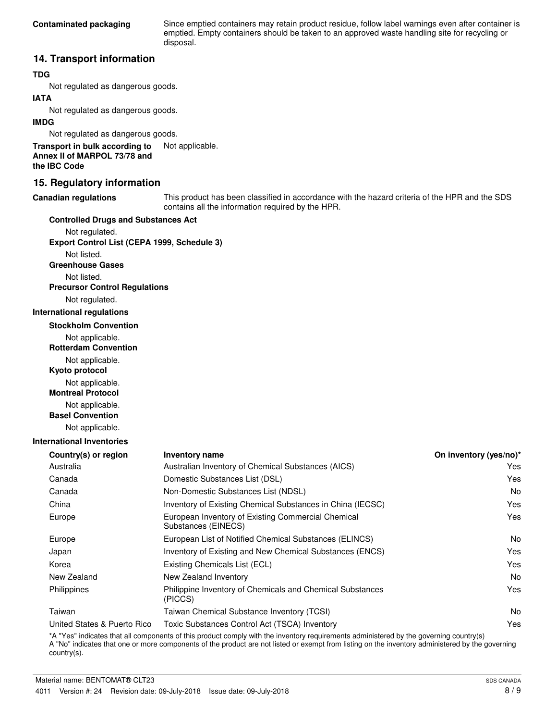Since emptied containers may retain product residue, follow label warnings even after container is emptied. Empty containers should be taken to an approved waste handling site for recycling or disposal.

### **14. Transport information**

#### **TDG**

Not regulated as dangerous goods.

#### **IATA**

Not regulated as dangerous goods.

#### **IMDG**

Not regulated as dangerous goods.

**Transport in bulk according to** Not applicable. **Annex II of MARPOL 73/78 and the IBC Code**

### **15. Regulatory information**

#### **Canadian regulations**

This product has been classified in accordance with the hazard criteria of the HPR and the SDS contains all the information required by the HPR.

#### **Controlled Drugs and Substances Act**

Not regulated. **Export Control List (CEPA 1999, Schedule 3)**

Not listed.

**Greenhouse Gases**

Not listed.

### **Precursor Control Regulations**

Not regulated.

#### **International regulations**

**Stockholm Convention**

Not applicable.

**Rotterdam Convention**

Not applicable.

**Kyoto protocol**

Not applicable.

**Montreal Protocol**

Not applicable.

**Basel Convention**

Not applicable.

#### **International Inventories**

| <b>Inventory name</b>                                                     | On inventory (yes/no)* |
|---------------------------------------------------------------------------|------------------------|
| Australian Inventory of Chemical Substances (AICS)                        | Yes                    |
| Domestic Substances List (DSL)                                            | Yes                    |
| Non-Domestic Substances List (NDSL)                                       | No.                    |
| Inventory of Existing Chemical Substances in China (IECSC)                | Yes                    |
| European Inventory of Existing Commercial Chemical<br>Substances (EINECS) | Yes                    |
| European List of Notified Chemical Substances (ELINCS)                    | N <sub>o</sub>         |
| Inventory of Existing and New Chemical Substances (ENCS)                  | Yes                    |
| Existing Chemicals List (ECL)                                             | Yes                    |
| New Zealand Inventory                                                     | No.                    |
| Philippine Inventory of Chemicals and Chemical Substances<br>(PICCS)      | Yes                    |
| Taiwan Chemical Substance Inventory (TCSI)                                | No.                    |
| Toxic Substances Control Act (TSCA) Inventory                             | Yes                    |
|                                                                           |                        |

\*A "Yes" indicates that all components of this product comply with the inventory requirements administered by the governing country(s) A "No" indicates that one or more components of the product are not listed or exempt from listing on the inventory administered by the governing country(s).